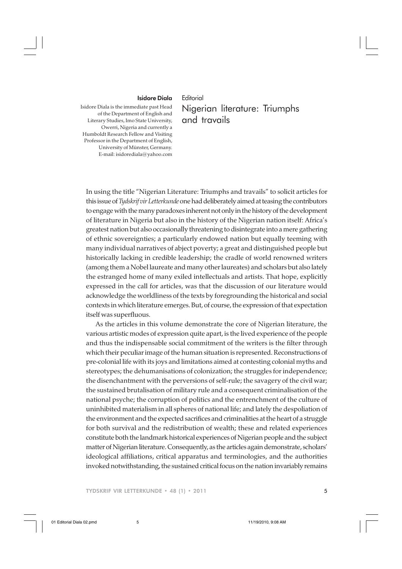## Isidore Diala

## **Editorial**

Isidore Diala is the immediate past Head of the Department of English and Literary Studies, Imo State University, Owerri, Nigeria and currently a Humboldt Research Fellow and Visiting Professor in the Department of English, University of Münster, Germany. E-mail: isidorediala@yahoo.com

## Nigerian literature: Triumphs and travails

In using the title "Nigerian Literature: Triumphs and travails" to solicit articles for this issue of *Tydskrif vir Letterkunde* one had deliberately aimed at teasing the contributors to engage with the many paradoxes inherent not only in the history of the development of literature in Nigeria but also in the history of the Nigerian nation itself: Africa's greatest nation but also occasionally threatening to disintegrate into a mere gathering of ethnic sovereignties; a particularly endowed nation but equally teeming with many individual narratives of abject poverty; a great and distinguished people but historically lacking in credible leadership; the cradle of world renowned writers (among them a Nobel laureate and many other laureates) and scholars but also lately the estranged home of many exiled intellectuals and artists. That hope, explicitly expressed in the call for articles, was that the discussion of our literature would acknowledge the worldliness of the texts by foregrounding the historical and social contexts in which literature emerges. But, of course, the expression of that expectation itself was superfluous.

As the articles in this volume demonstrate the core of Nigerian literature, the various artistic modes of expression quite apart, is the lived experience of the people and thus the indispensable social commitment of the writers is the filter through which their peculiar image of the human situation is represented. Reconstructions of pre-colonial life with its joys and limitations aimed at contesting colonial myths and stereotypes; the dehumanisations of colonization; the struggles for independence; the disenchantment with the perversions of self-rule; the savagery of the civil war; the sustained brutalisation of military rule and a consequent criminalisation of the national psyche; the corruption of politics and the entrenchment of the culture of uninhibited materialism in all spheres of national life; and lately the despoliation of the environment and the expected sacrifices and criminalities at the heart of a struggle for both survival and the redistribution of wealth; these and related experiences constitute both the landmark historical experiences of Nigerian people and the subject matter of Nigerian literature. Consequently, as the articles again demonstrate, scholars' ideological affiliations, critical apparatus and terminologies, and the authorities invoked notwithstanding, the sustained critical focus on the nation invariably remains

TYDSKRIF VIR LETTERKUNDE • 48 (1) • 2011 5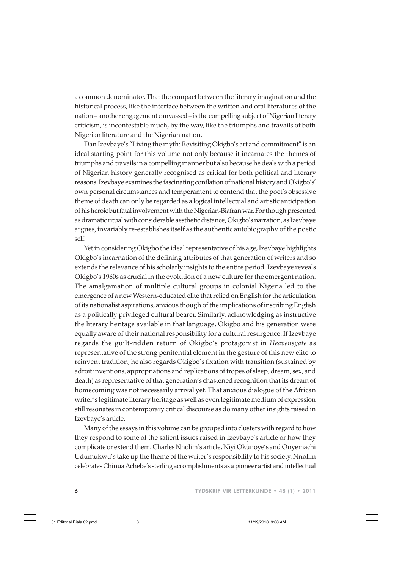a common denominator. That the compact between the literary imagination and the historical process, like the interface between the written and oral literatures of the nation – another engagement canvassed – is the compelling subject of Nigerian literary criticism, is incontestable much, by the way, like the triumphs and travails of both Nigerian literature and the Nigerian nation.

Dan Izevbaye's "Living the myth: Revisiting Okigbo's art and commitment" is an ideal starting point for this volume not only because it incarnates the themes of triumphs and travails in a compelling manner but also because he deals with a period of Nigerian history generally recognised as critical for both political and literary reasons. Izevbaye examines the fascinating conflation of national history and Okigbo's' own personal circumstances and temperament to contend that the poet's obsessive theme of death can only be regarded as a logical intellectual and artistic anticipation of his heroic but fatal involvement with the Nigerian-Biafran war. For though presented as dramatic ritual with considerable aesthetic distance, Okigbo's narration, as Izevbaye argues, invariably re-establishes itself as the authentic autobiography of the poetic self.

Yet in considering Okigbo the ideal representative of his age, Izevbaye highlights Okigbo's incarnation of the defining attributes of that generation of writers and so extends the relevance of his scholarly insights to the entire period. Izevbaye reveals Okigbo's 1960s as crucial in the evolution of a new culture for the emergent nation. The amalgamation of multiple cultural groups in colonial Nigeria led to the emergence of a new Western-educated elite that relied on English for the articulation of its nationalist aspirations, anxious though of the implications of inscribing English as a politically privileged cultural bearer. Similarly, acknowledging as instructive the literary heritage available in that language, Okigbo and his generation were equally aware of their national responsibility for a cultural resurgence. If Izevbaye regards the guilt-ridden return of Okigbo's protagonist in *Heavensgate* as representative of the strong penitential element in the gesture of this new elite to reinvent tradition, he also regards Okigbo's fixation with transition (sustained by adroit inventions, appropriations and replications of tropes of sleep, dream, sex, and death) as representative of that generation's chastened recognition that its dream of homecoming was not necessarily arrival yet. That anxious dialogue of the African writer's legitimate literary heritage as well as even legitimate medium of expression still resonates in contemporary critical discourse as do many other insights raised in Izevbaye's article.

Many of the essays in this volume can be grouped into clusters with regard to how they respond to some of the salient issues raised in Izevbaye's article or how they complicate or extend them. Charles Nnolim's article, Niyi Okùnoyè's and Onyemachi Udumukwu's take up the theme of the writer's responsibility to his society. Nnolim celebrates Chinua Achebe's sterling accomplishments as a pioneer artist and intellectual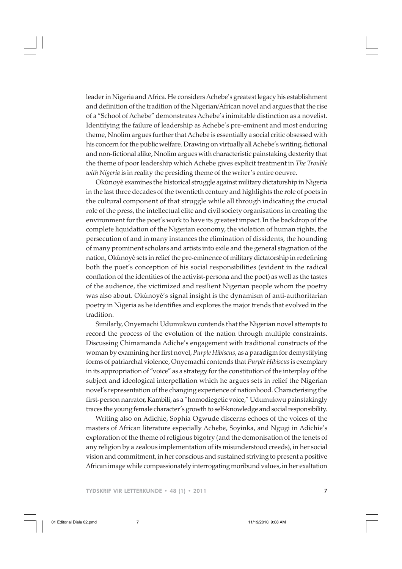leader in Nigeria and Africa. He considers Achebe's greatest legacy his establishment and definition of the tradition of the Nigerian/African novel and argues that the rise of a "School of Achebe" demonstrates Achebe's inimitable distinction as a novelist. Identifying the failure of leadership as Achebe's pre-eminent and most enduring theme, Nnolim argues further that Achebe is essentially a social critic obsessed with his concern for the public welfare. Drawing on virtually all Achebe's writing, fictional and non-fictional alike, Nnolim argues with characteristic painstaking dexterity that the theme of poor leadership which Achebe gives explicit treatment in *The Trouble with Nigeria* is in reality the presiding theme of the writer's entire oeuvre.

Okùnoyè examines the historical struggle against military dictatorship in Nigeria in the last three decades of the twentieth century and highlights the role of poets in the cultural component of that struggle while all through indicating the crucial role of the press, the intellectual elite and civil society organisations in creating the environment for the poet's work to have its greatest impact. In the backdrop of the complete liquidation of the Nigerian economy, the violation of human rights, the persecution of and in many instances the elimination of dissidents, the hounding of many prominent scholars and artists into exile and the general stagnation of the nation, Okùnoyè sets in relief the pre-eminence of military dictatorship in redefining both the poet's conception of his social responsibilities (evident in the radical conflation of the identities of the activist-persona and the poet) as well as the tastes of the audience, the victimized and resilient Nigerian people whom the poetry was also about. Okùnoyè's signal insight is the dynamism of anti-authoritarian poetry in Nigeria as he identifies and explores the major trends that evolved in the tradition.

Similarly, Onyemachi Udumukwu contends that the Nigerian novel attempts to record the process of the evolution of the nation through multiple constraints. Discussing Chimamanda Adiche's engagement with traditional constructs of the woman by examining her first novel, *Purple Hibiscus*, as a paradigm for demystifying forms of patriarchal violence, Onyemachi contends that *Purple Hibiscus* is exemplary in its appropriation of "voice" as a strategy for the constitution of the interplay of the subject and ideological interpellation which he argues sets in relief the Nigerian novel's representation of the changing experience of nationhood. Characterising the first-person narrator, Kambili, as a "homodiegetic voice," Udumukwu painstakingly traces the young female character's growth to self-knowledge and social responsibility.

Writing also on Adichie, Sophia Ogwude discerns echoes of the voices of the masters of African literature especially Achebe, Soyinka, and Ngugi in Adichie's exploration of the theme of religious bigotry (and the demonisation of the tenets of any religion by a zealous implementation of its misunderstood creeds), in her social vision and commitment, in her conscious and sustained striving to present a positive African image while compassionately interrogating moribund values, in her exaltation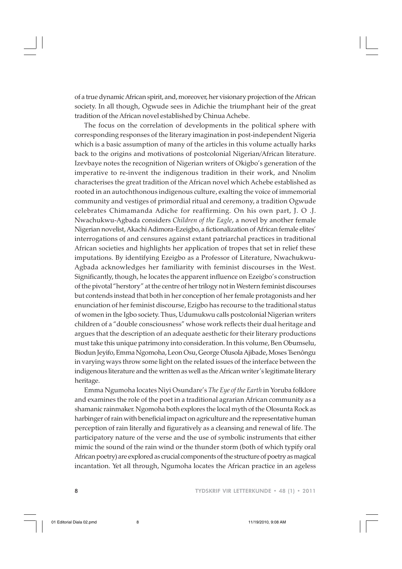of a true dynamic African spirit, and, moreover, her visionary projection of the African society. In all though, Ogwude sees in Adichie the triumphant heir of the great tradition of the African novel established by Chinua Achebe.

The focus on the correlation of developments in the political sphere with corresponding responses of the literary imagination in post-independent Nigeria which is a basic assumption of many of the articles in this volume actually harks back to the origins and motivations of postcolonial Nigerian/African literature. Izevbaye notes the recognition of Nigerian writers of Okigbo's generation of the imperative to re-invent the indigenous tradition in their work, and Nnolim characterises the great tradition of the African novel which Achebe established as rooted in an autochthonous indigenous culture, exalting the voice of immemorial community and vestiges of primordial ritual and ceremony, a tradition Ogwude celebrates Chimamanda Adiche for reaffirming. On his own part, J. O .J. Nwachukwu-Agbada considers *Children of the Eagle*, a novel by another female Nigerian novelist, Akachi Adimora-Ezeigbo, a fictionalization of African female elites' interrogations of and censures against extant patriarchal practices in traditional African societies and highlights her application of tropes that set in relief these imputations. By identifying Ezeigbo as a Professor of Literature, Nwachukwu-Agbada acknowledges her familiarity with feminist discourses in the West. Significantly, though, he locates the apparent influence on Ezeigbo's construction of the pivotal "herstory" at the centre of her trilogy not in Western feminist discourses but contends instead that both in her conception of her female protagonists and her enunciation of her feminist discourse, Ezigbo has recourse to the traditional status of women in the Igbo society. Thus, Udumukwu calls postcolonial Nigerian writers children of a "double consciousness" whose work reflects their dual heritage and argues that the description of an adequate aesthetic for their literary productions must take this unique patrimony into consideration. In this volume, Ben Obumselu, Biodun Jeyifo, Emma Ngomoha, Leon Osu, George Olusola Ajibade, Moses Tsenôngu in varying ways throw some light on the related issues of the interface between the indigenous literature and the written as well as the African writer's legitimate literary heritage.

Emma Ngumoha locates Niyi Osundare's *The Eye of the Earth* in Yoruba folklore and examines the role of the poet in a traditional agrarian African community as a shamanic rainmaker. Ngomoha both explores the local myth of the Olosunta Rock as harbinger of rain with beneficial impact on agriculture and the representative human perception of rain literally and figuratively as a cleansing and renewal of life. The participatory nature of the verse and the use of symbolic instruments that either mimic the sound of the rain wind or the thunder storm (both of which typify oral African poetry) are explored as crucial components of the structure of poetry as magical incantation. Yet all through, Ngumoha locates the African practice in an ageless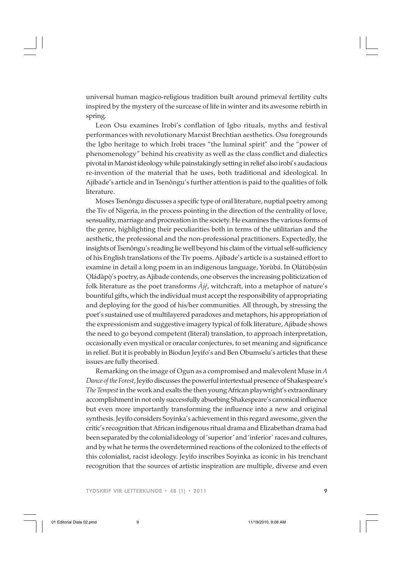universal human magico-religious tradition built around primeval fertility cults inspired by the mystery of the surcease of life in winter and its awesome rebirth in spring.

Leon Osu examines Irobi's conflation of Igbo rituals, myths and festival performances with revolutionary Marxist Brechtian aesthetics. Osu foregrounds the Igbo heritage to which Irobi traces "the luminal spirit" and the "power of phenomenology" behind his creativity as well as the class conflict and dialectics pivotal in Marxist ideology while painstakingly setting in relief also irobi's audacious re-invention of the material that he uses, both traditional and ideological. In Ajibade's article and in Tsenôngu's further attention is paid to the qualities of folk literature.

Moses Tsenôngu discusses a specific type of oral literature, nuptial poetry among the Tiv of Nigeria, in the process pointing in the direction of the centrality of love, sensuality, marriage and procreation in the society. He examines the various forms of the genre, highlighting their peculiarities both in terms of the utilitarian and the aesthetic, the professional and the non-professional practitioners. Expectedly, the insights of Tsenôngu's reading lie well beyond his claim of the virtual self-sufficiency of his English translations of the Tiv poems. Ajibade's article is a sustained effort to examine in detail a long poem in an indigenous language, Yorùbá. In Olátúbòsún Oládàpò's poetry, as Ajibade contends, one observes the increasing politicization of . . folk literature as the poet transforms *Àjé*, witchcraft, into a metaphor of nature's . bountiful gifts, which the individual must accept the responsibility of appropriating and deploying for the good of his/her communities. All through, by stressing the poet's sustained use of multilayered paradoxes and metaphors, his appropriation of the expressionism and suggestive imagery typical of folk literature, Ajibade shows the need to go beyond competent (literal) translation, to approach interpretation, occasionally even mystical or oracular conjectures, to set meaning and significance in relief. But it is probably in Biodun Jeyifo's and Ben Obumselu's articles that these issues are fully theorised.

Remarking on the image of Ogun as a compromised and malevolent Muse in *A Dance of the Forest*, Jeyifo discusses the powerful intertextual presence of Shakespeare's *The Tempest* in the work and exalts the then young African playwright's extraordinary accomplishment in not only successfully absorbing Shakespeare's canonical influence but even more importantly transforming the influence into a new and original synthesis. Jeyifo considers Soyinka's achievement in this regard awesome, given the critic's recognition that African indigenous ritual drama and Elizabethan drama had been separated by the colonial ideology of 'superior' and 'inferior' races and cultures, and by what he terms the overdetermined reactions of the colonized to the effects of this colonialist, racist ideology. Jeyifo inscribes Soyinka as iconic in his trenchant recognition that the sources of artistic inspiration are multiple, diverse and even

TYDSKRIF VIR LETTERKUNDE • 48 (1) • 2011 9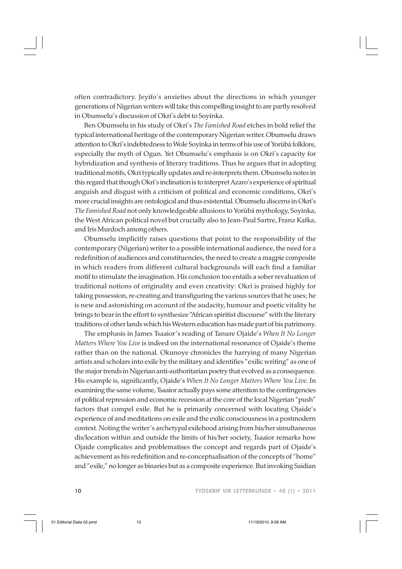often contradictory. Jeyifo's anxieties about the directions in which younger generations of Nigerian writers will take this compelling insight to are partly resolved in Obumselu's discussion of Okri's debt to Soyinka.

Ben Obumselu in his study of Okri's *The Famished Road* etches in bold relief the typical international heritage of the contemporary Nigerian writer. Obumselu draws attention to Okri's indebtedness to Wole Soyinka in terms of his use of Yorùbá folklore, especially the myth of Ogun. Yet Obumselu's emphasis is on Okri's capacity for hybridization and synthesis of literary traditions. Thus he argues that in adopting traditional motifs, Okri typically updates and re-interprets them. Obumselu notes in this regard that though Okri's inclination is to interpret Azaro's experience of spiritual anguish and disgust with a criticism of political and economic conditions, Okri's more crucial insights are ontological and thus existential. Obumselu discerns in Okri's *The Famished Road* not only knowledgeable allusions to Yorùbá mythology, Soyinka, the West African political novel but crucially also to Jean-Paul Sartre, Franz Kafka, and Iris Murdoch among others.

Obumselu implicitly raises questions that point to the responsibility of the contemporary (Nigerian) writer to a possible international audience, the need for a redefinition of audiences and constituencies, the need to create a magpie composite in which readers from different cultural backgrounds will each find a familiar motif to stimulate the imagination. His conclusion too entails a sober revaluation of traditional notions of originality and even creativity: Okri is praised highly for taking possession, re-creating and transfiguring the various sources that he uses; he is new and astonishing on account of the audacity, humour and poetic vitality he brings to bear in the effort to synthesize "African spiritist discourse" with the literary traditions of other lands which his Western education has made part of his patrimony.

The emphasis in James Tsaaior's reading of Tanure Ojaide's *When It No Longer Matters Where You Live* is indeed on the international resonance of Ojaide's theme rather than on the national. Okunoye chronicles the harrying of many Nigerian artists and scholars into exile by the military and identifies "exilic writing" as one of the major trends in Nigerian anti-authoritarian poetry that evolved as a consequence. His example is, significantly, Ojaide's *When It No Longer Matters Where You Live.* In examining the same volume, Tsaaior actually pays some attention to the contingencies of political repression and economic recession at the core of the local Nigerian "push" factors that compel exile. But he is primarily concerned with locating Ojaide's experience of and meditations on exile and the exilic consciousness in a postmodern context. Noting the writer's archetypal exilehood arising from his/her simultaneous dis/location within and outside the limits of his/her society, Tsaaior remarks how Ojaide complicates and problematises the concept and regards part of Ojaide's achievement as his redefinition and re-conceptualisation of the concepts of "home" and "exile," no longer as binaries but as a composite experience. But invoking Saidian

10 TYDSKRIF VIR LETTERKUNDE • 48 (1) • 2011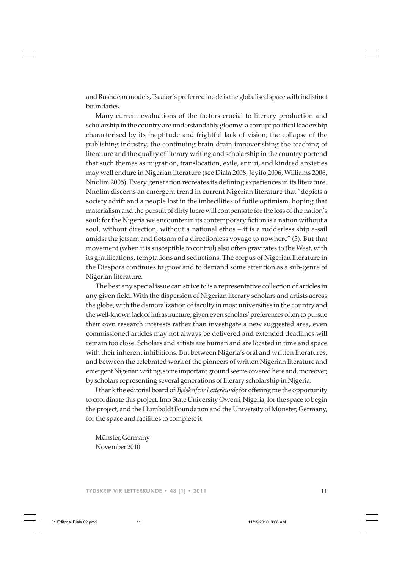and Rushdean models, Tsaaior's preferred locale is the globalised space with indistinct boundaries.

Many current evaluations of the factors crucial to literary production and scholarship in the country are understandably gloomy: a corrupt political leadership characterised by its ineptitude and frightful lack of vision, the collapse of the publishing industry, the continuing brain drain impoverishing the teaching of literature and the quality of literary writing and scholarship in the country portend that such themes as migration, translocation, exile, ennui, and kindred anxieties may well endure in Nigerian literature (see Diala 2008, Jeyifo 2006, Williams 2006, Nnolim 2005). Every generation recreates its defining experiences in its literature. Nnolim discerns an emergent trend in current Nigerian literature that "depicts a society adrift and a people lost in the imbecilities of futile optimism, hoping that materialism and the pursuit of dirty lucre will compensate for the loss of the nation's soul; for the Nigeria we encounter in its contemporary fiction is a nation without a soul, without direction, without a national ethos – it is a rudderless ship a-sail amidst the jetsam and flotsam of a directionless voyage to nowhere" (5). But that movement (when it is susceptible to control) also often gravitates to the West, with its gratifications, temptations and seductions. The corpus of Nigerian literature in the Diaspora continues to grow and to demand some attention as a sub-genre of Nigerian literature.

The best any special issue can strive to is a representative collection of articles in any given field. With the dispersion of Nigerian literary scholars and artists across the globe, with the demoralization of faculty in most universities in the country and the well-known lack of infrastructure, given even scholars' preferences often to pursue their own research interests rather than investigate a new suggested area, even commissioned articles may not always be delivered and extended deadlines will remain too close. Scholars and artists are human and are located in time and space with their inherent inhibitions. But between Nigeria's oral and written literatures, and between the celebrated work of the pioneers of written Nigerian literature and emergent Nigerian writing, some important ground seems covered here and, moreover, by scholars representing several generations of literary scholarship in Nigeria.

I thank the editorial board of *Tydskrif vir Letterkunde* for offering me the opportunity to coordinate this project, Imo State University Owerri, Nigeria, for the space to begin the project, and the Humboldt Foundation and the University of Münster, Germany, for the space and facilities to complete it.

Münster, Germany November 2010

TYDSKRIF VIR LETTERKUNDE • 48 (1) • 2011 11